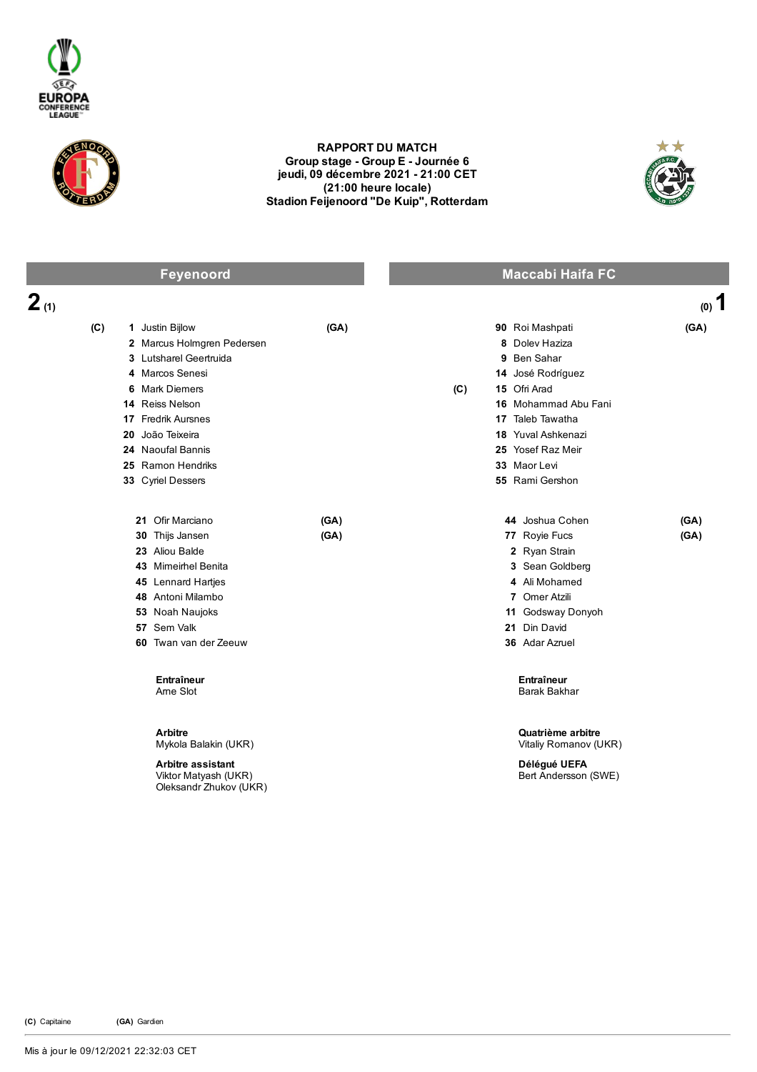



## RAPPORT DU MATCH Group stage - Group E - Journée 6 jeudi, 09 décembre 2021 21:00 CET (21:00 heure locale) Stadion Feijenoord "De Kuip", Rotterdam



| Feyenoord                                                                                                                                                                                            |                                                                                                                            | <b>Maccabi Haifa FC</b> |                                                                                                                                                                                                                 |              |
|------------------------------------------------------------------------------------------------------------------------------------------------------------------------------------------------------|----------------------------------------------------------------------------------------------------------------------------|-------------------------|-----------------------------------------------------------------------------------------------------------------------------------------------------------------------------------------------------------------|--------------|
| 2(1)                                                                                                                                                                                                 |                                                                                                                            |                         |                                                                                                                                                                                                                 | $(0)$ 1      |
| (C)<br>1 Justin Bijlow<br>4 Marcos Senesi<br><b>Mark Diemers</b><br>6<br>14 Reiss Nelson<br>17 Fredrik Aursnes<br>João Teixeira<br>20<br>24 Naoufal Bannis<br>25 Ramon Hendriks<br>33 Cyriel Dessers | (GA)<br>2 Marcus Holmgren Pedersen<br>3 Lutsharel Geertruida                                                               | (C)                     | 90 Roi Mashpati<br>8 Doley Haziza<br>9 Ben Sahar<br>14 José Rodríguez<br>15 Ofri Arad<br>16 Mohammad Abu Fani<br>17 Taleb Tawatha<br>18 Yuval Ashkenazi<br>25 Yosef Raz Meir<br>33 Maor Levi<br>55 Rami Gershon | (GA)         |
| 21 Ofir Marciano<br>30 Thijs Jansen<br>23 Aliou Balde<br>57 Sem Valk                                                                                                                                 | (GA)<br>(GA)<br>43 Mimeirhel Benita<br>45 Lennard Hartjes<br>48 Antoni Milambo<br>53 Noah Naujoks<br>60 Twan van der Zeeuw |                         | 44 Joshua Cohen<br>77 Royie Fucs<br>2 Ryan Strain<br>3 Sean Goldberg<br>4 Ali Mohamed<br>7 Omer Atzili<br>11 Godsway Donyoh<br>21 Din David<br>36 Adar Azruel                                                   | (GA)<br>(GA) |
|                                                                                                                                                                                                      | Entraîneur<br>Ame Slot                                                                                                     |                         | Entraîneur<br>Barak Bakhar                                                                                                                                                                                      |              |
| <b>Arbitre</b>                                                                                                                                                                                       | Mykola Balakin (UKR)<br><b>Arbitre assistant</b><br>Viktor Matyash (UKR)<br>Oleksandr Zhukov (UKR)                         |                         | Quatrième arbitre<br>Vitaliy Romanov (UKR)<br>Délégué UEFA<br>Bert Andersson (SWE)                                                                                                                              |              |